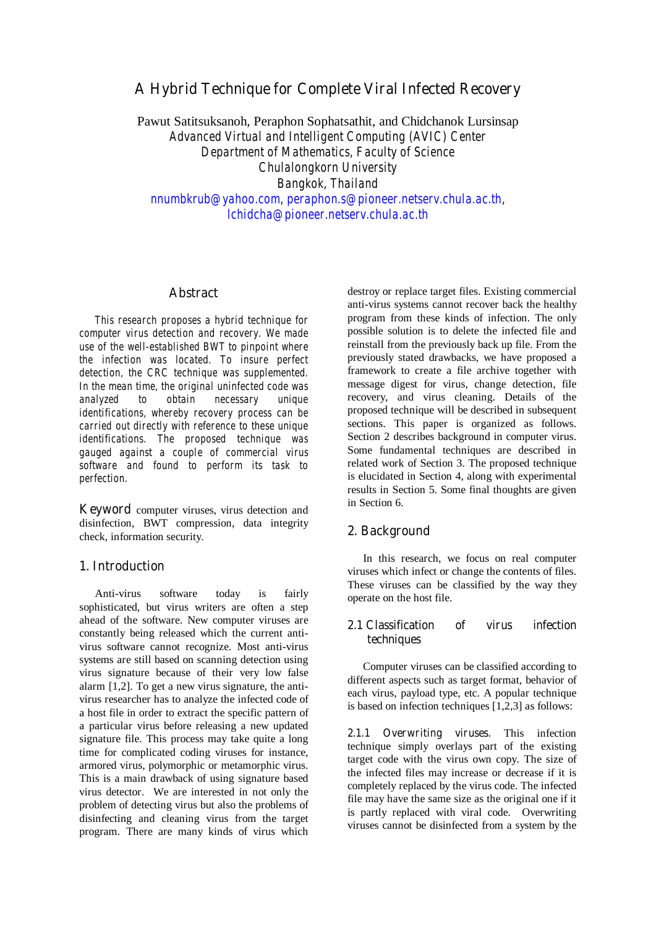# **A Hybrid Technique for Complete Viral Infected Recovery**

Pawut Satitsuksanoh, Peraphon Sophatsathit, and Chidchanok Lursinsap *Advanced Virtual and Intelligent Computing (AVIC) Center Department of Mathematics, Faculty of Science Chulalongkorn University Bangkok, Thailand nnumbkrub@yahoo.com, peraphon.s@pioneer.netserv.chula.ac.th, lchidcha@pioneer.netserv.chula.ac.th*

#### **Abstract**

*This research proposes a hybrid technique for computer virus detection and recovery. We made use of the well-established BWT to pinpoint where the infection was located. To insure perfect detection, the CRC technique was supplemented. In the mean time, the original uninfected code was analyzed to obtain necessary unique identifications, whereby recovery process can be carried out directly with reference to these unique identifications. The proposed technique was gauged against a couple of commercial virus software and found to perform its task to perfection.* 

**Keyword** computer viruses, virus detection and disinfection, BWT compression, data integrity check, information security.

# **1. Introduction**

Anti-virus software today is fairly sophisticated, but virus writers are often a step ahead of the software. New computer viruses are constantly being released which the current antivirus software cannot recognize. Most anti-virus systems are still based on scanning detection using virus signature because of their very low false alarm [1,2]. To get a new virus signature, the antivirus researcher has to analyze the infected code of a host file in order to extract the specific pattern of a particular virus before releasing a new updated signature file. This process may take quite a long time for complicated coding viruses for instance, armored virus, polymorphic or metamorphic virus. This is a main drawback of using signature based virus detector. We are interested in not only the problem of detecting virus but also the problems of disinfecting and cleaning virus from the target program. There are many kinds of virus which

destroy or replace target files. Existing commercial anti-virus systems cannot recover back the healthy program from these kinds of infection. The only possible solution is to delete the infected file and reinstall from the previously back up file. From the previously stated drawbacks, we have proposed a framework to create a file archive together with message digest for virus, change detection, file recovery, and virus cleaning. Details of the proposed technique will be described in subsequent sections. This paper is organized as follows. Section 2 describes background in computer virus. Some fundamental techniques are described in related work of Section 3. The proposed technique is elucidated in Section 4, along with experimental results in Section 5. Some final thoughts are given in Section 6.

# **2. Background**

In this research, we focus on real computer viruses which infect or change the contents of files. These viruses can be classified by the way they operate on the host file.

### **2.1 Classification of virus infection techniques**

Computer viruses can be classified according to different aspects such as target format, behavior of each virus, payload type, etc. A popular technique is based on infection techniques [1,2,3] as follows:

**2.1.1 Overwriting viruses.** This infection technique simply overlays part of the existing target code with the virus own copy. The size of the infected files may increase or decrease if it is completely replaced by the virus code. The infected file may have the same size as the original one if it is partly replaced with viral code. Overwriting viruses cannot be disinfected from a system by the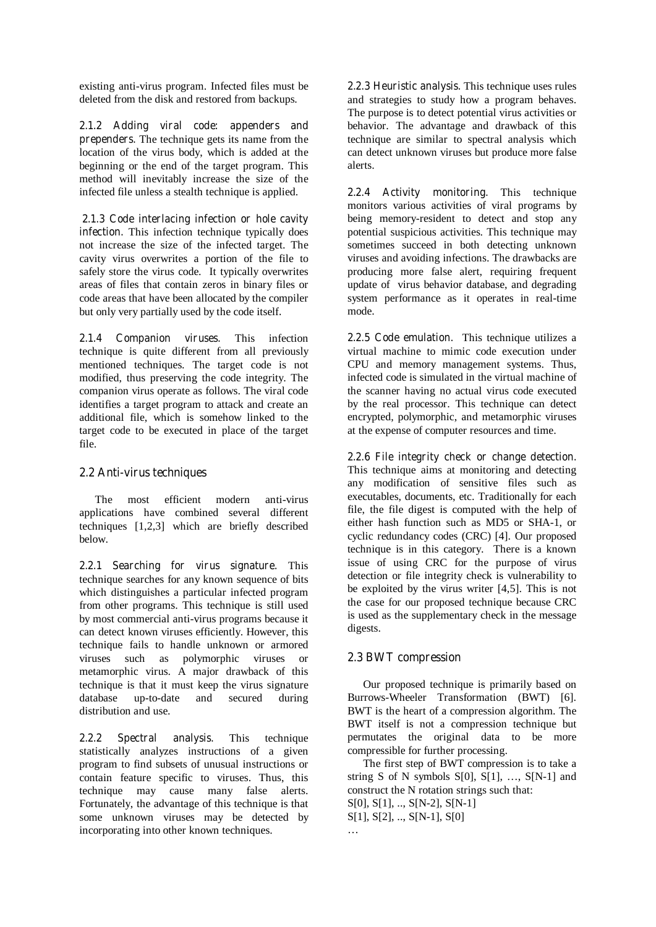existing anti-virus program. Infected files must be deleted from the disk and restored from backups.

**2.1.2 Adding viral code: appenders and prependers.** The technique gets its name from the location of the virus body, which is added at the beginning or the end of the target program. This method will inevitably increase the size of the infected file unless a stealth technique is applied.

**2.1.3 Code interlacing infection or hole cavity infection.** This infection technique typically does not increase the size of the infected target. The cavity virus overwrites a portion of the file to safely store the virus code. It typically overwrites areas of files that contain zeros in binary files or code areas that have been allocated by the compiler but only very partially used by the code itself**.** 

**2.1.4 Companion viruses.** This infection technique is quite different from all previously mentioned techniques. The target code is not modified, thus preserving the code integrity. The companion virus operate as follows. The viral code identifies a target program to attack and create an additional file, which is somehow linked to the target code to be executed in place of the target file.

### **2.2 Anti-virus techniques**

The most efficient modern anti-virus applications have combined several different techniques [1,2,3] which are briefly described below.

**2.2.1 Searching for virus signature.** This technique searches for any known sequence of bits which distinguishes a particular infected program from other programs. This technique is still used by most commercial anti-virus programs because it can detect known viruses efficiently. However, this technique fails to handle unknown or armored viruses such as polymorphic viruses or metamorphic virus. A major drawback of this technique is that it must keep the virus signature database up-to-date and secured during distribution and use.

**2.2.2 Spectral analysis.** This technique statistically analyzes instructions of a given program to find subsets of unusual instructions or contain feature specific to viruses. Thus, this technique may cause many false alerts. Fortunately, the advantage of this technique is that some unknown viruses may be detected by incorporating into other known techniques.

**2.2.3 Heuristic analysis.** This technique uses rules and strategies to study how a program behaves. The purpose is to detect potential virus activities or behavior. The advantage and drawback of this technique are similar to spectral analysis which can detect unknown viruses but produce more false alerts.

2.2.4 **Activity monitoring.** This technique monitors various activities of viral programs by being memory-resident to detect and stop any potential suspicious activities. This technique may sometimes succeed in both detecting unknown viruses and avoiding infections. The drawbacks are producing more false alert, requiring frequent update of virus behavior database, and degrading system performance as it operates in real-time mode.

**2.2.5 Code emulation.** This technique utilizes a virtual machine to mimic code execution under CPU and memory management systems. Thus, infected code is simulated in the virtual machine of the scanner having no actual virus code executed by the real processor. This technique can detect encrypted, polymorphic, and metamorphic viruses at the expense of computer resources and time.

**2.2.6 File integrity check or change detection.**  This technique aims at monitoring and detecting any modification of sensitive files such as executables, documents, etc. Traditionally for each file, the file digest is computed with the help of either hash function such as MD5 or SHA-1, or cyclic redundancy codes (CRC) [4]. Our proposed technique is in this category. There is a known issue of using CRC for the purpose of virus detection or file integrity check is vulnerability to be exploited by the virus writer [4,5]. This is not the case for our proposed technique because CRC is used as the supplementary check in the message digests.

# **2.3 BWT compression**

…

 Our proposed technique is primarily based on Burrows-Wheeler Transformation (BWT) [6]. BWT is the heart of a compression algorithm. The BWT itself is not a compression technique but permutates the original data to be more compressible for further processing.

 The first step of BWT compression is to take a string S of N symbols  $S[0]$ ,  $S[1]$ , ...,  $S[N-1]$  and construct the N rotation strings such that: S[0], S[1], .., S[N-2], S[N-1] S[1], S[2], .., S[N-1], S[0]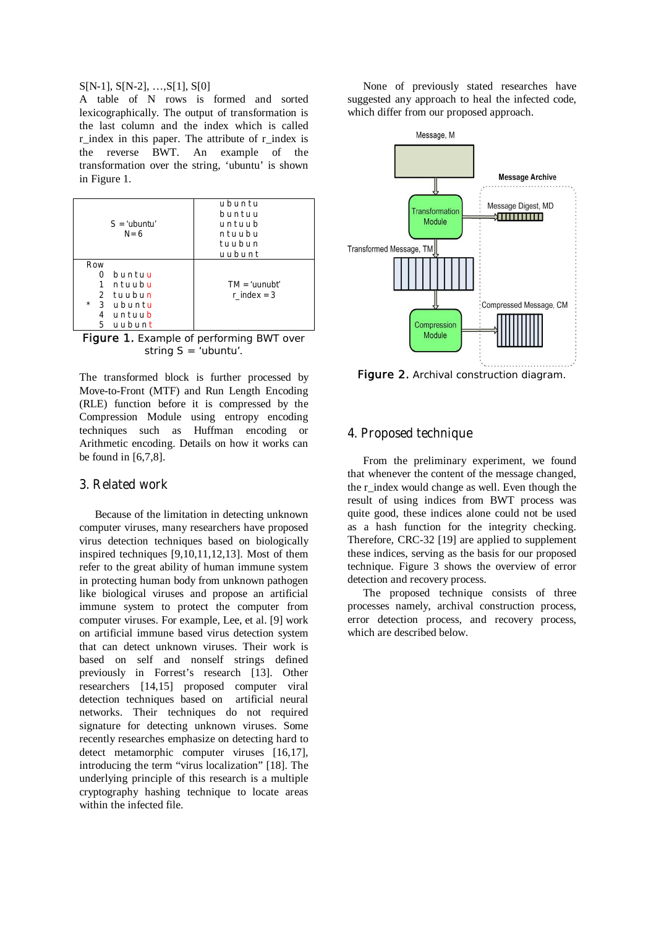#### S[N-1], S[N-2], …,S[1], S[0]

A table of N rows is formed and sorted lexicographically. The output of transformation is the last column and the index which is called r index in this paper. The attribute of r index is the reverse BWT. An example of the transformation over the string, 'ubuntu' is shown in Figure 1.

| $S = 'ubuntu'$<br>$N = 6$                                                                                 | ubuntu<br>buntuu<br>untuub<br>ntuubu<br>tuubun<br>uubunt |  |  |  |
|-----------------------------------------------------------------------------------------------------------|----------------------------------------------------------|--|--|--|
| Row<br>buntuu<br>0<br>1<br>ntuubu<br>tuubun<br>2<br>$^\star$<br>3<br>ubuntu<br>untuub<br>4<br>uubunt<br>5 | $TM = 'uunubt'$<br>r index = $3$                         |  |  |  |

Figure 1. Example of performing BWT over string  $S = 'ubuntu'.$ 

The transformed block is further processed by Move-to-Front (MTF) and Run Length Encoding (RLE) function before it is compressed by the Compression Module using entropy encoding techniques such as Huffman encoding or Arithmetic encoding. Details on how it works can be found in [6,7,8].

### **3. Related work**

Because of the limitation in detecting unknown computer viruses, many researchers have proposed virus detection techniques based on biologically inspired techniques [9,10,11,12,13]. Most of them refer to the great ability of human immune system in protecting human body from unknown pathogen like biological viruses and propose an artificial immune system to protect the computer from computer viruses. For example, Lee, et al. [9] work on artificial immune based virus detection system that can detect unknown viruses. Their work is based on self and nonself strings defined previously in Forrest's research [13]. Other researchers [14,15] proposed computer viral detection techniques based on artificial neural networks. Their techniques do not required signature for detecting unknown viruses. Some recently researches emphasize on detecting hard to detect metamorphic computer viruses [16,17], introducing the term "virus localization" [18]. The underlying principle of this research is a multiple cryptography hashing technique to locate areas within the infected file.

None of previously stated researches have suggested any approach to heal the infected code, which differ from our proposed approach.



Figure 2. Archival construction diagram.

# **4. Proposed technique**

From the preliminary experiment, we found that whenever the content of the message changed, the r\_index would change as well. Even though the result of using indices from BWT process was quite good, these indices alone could not be used as a hash function for the integrity checking. Therefore, CRC-32 [19] are applied to supplement these indices, serving as the basis for our proposed technique. Figure 3 shows the overview of error detection and recovery process.

The proposed technique consists of three processes namely, archival construction process, error detection process, and recovery process, which are described below.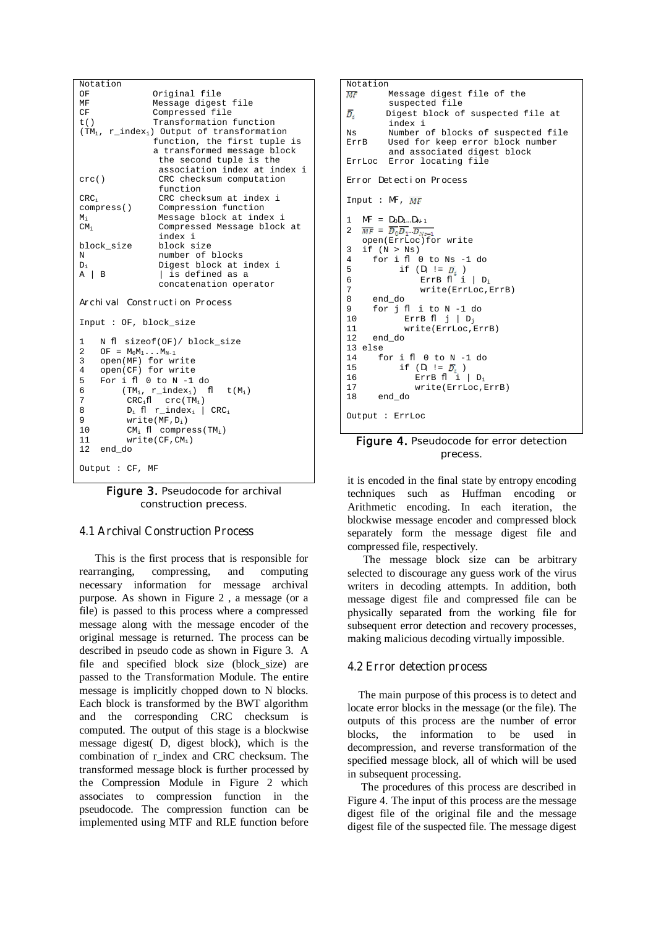```
Notation<br>OF
OF Original file<br>MF Message diges
MF Message digest file<br>CR Compressed file
                    Compressed file
t() Transformation function 
(TMi, r_indexi) Output of transformation 
                     function, the first tuple is 
                     a transformed message block 
                       the second tuple is the 
association index at index i<br>crc() CRC checksum computation
                      CRC checksum computation
                      function 
CRC_i CRC checksum at index i<br>compress() Compression function
                     Compression function
Mi Message block at index i 
CMi Compressed Message block at 
                     index i 
block_size block size 
N number of blocks 
D<sub>i</sub> Digest block at index i<br>
A | B | is defined as a
                      | is defined as a
                      concatenation operator 
Archival Construction Process 
Input : OF, block_size 
1 N \beta sizeof(OF)/ block_size<br>2 OF = M_{M_{1}}, M_{M_{2}}2 OF = M_0M_1...M_{N-1}<br>3 open(MF) for wi
3 open(MF) for write<br>4 open(CF) for write
4 open(CF) for write<br>5 For i \beta 0 to N - 15 For i \beta 0 to N -1 do<br>6 (TM<sub>i</sub>, r index<sub>i</sub>)
            \texttt{(TM}_i, \texttt{r\_index}_i) \quad \texttt{B} \quad \texttt{t(M}_i)7 CRC_i\beta \text{crc}(TM_i)8 D_i B r_index<sub>i</sub> | CRC<sub>i</sub> 9 write(MF, D_i)
9 \text{write}(\overline{\text{MF}}, \text{D}_i)<br>10 \text{CM}_i B \text{compr}(i)CM_i \beta compress(TM<sub>i</sub>)
11 write(CF, CM_i)<br>12 end do
     end do
```


Figure 3. Pseudocode for archival construction precess.

# **4.1 Archival Construction Process**

This is the first process that is responsible for rearranging, compressing, and computing necessary information for message archival purpose. As shown in Figure 2 , a message (or a file) is passed to this process where a compressed message along with the message encoder of the original message is returned. The process can be described in pseudo code as shown in Figure 3. A file and specified block size (block\_size) are passed to the Transformation Module. The entire message is implicitly chopped down to N blocks. Each block is transformed by the BWT algorithm and the corresponding CRC checksum is computed. The output of this stage is a blockwise message digest( D, digest block), which is the combination of r\_index and CRC checksum. The transformed message block is further processed by the Compression Module in Figure 2 which associates to compression function in the pseudocode. The compression function can be implemented using MTF and RLE function before

```
Notation 
\overline{MF} Message digest file of the
suspected file<br>\bar{D}_i Digest block of
           Digest block of suspected file at 
 index i 
Ns Samunder of blocks of suspected file<br>ErrB – Used for keep error block number
           Used for keep error block number
and associated digest block<br>ErrLoc Error locating file
           Error locating file
Error Detection Process 
Input : MF, MF
1 MF = D_0D_1...D_{N-1}2 \overline{MF} = \overline{D_0 D_1}.
 open(ErrLoc)for write 
3 if (N > Ns)<br>4 for i \beta4 for i \beta 0 to Ns -1 do<br>5 if (D_2 := \overline{D})if (D_i := \overline{D}_i)6 ErrB \overline{B} i D_i<br>7 write(ErrLoc)
7 write(ErrLoc,ErrB)<br>8 end_do
8 end_do<br>9 for i
9 for j \beta i to N - 1 do<br>10 ErrB \beta j \beta10 ErrB \beta j | D_j<br>11 write(ErrLoc, E
               write(ErrLoc, ErrB)
12 end_do 
13 else 
14 for i \beta 0 to N -1 do<br>15 if (D_i := \overline{D_i})15 if (D_i := \overline{D}_i)16 ErrB \beta i | D<sub>i</sub>
17 write(ErrLoc,ErrB) 
18 end_do 
Output : ErrLoc
```
Figure 4. Pseudocode for error detection precess.

it is encoded in the final state by entropy encoding techniques such as Huffman encoding or Arithmetic encoding. In each iteration, the blockwise message encoder and compressed block separately form the message digest file and compressed file, respectively.

The message block size can be arbitrary selected to discourage any guess work of the virus writers in decoding attempts. In addition, both message digest file and compressed file can be physically separated from the working file for subsequent error detection and recovery processes, making malicious decoding virtually impossible.

### **4.2 Error detection process**

The main purpose of this process is to detect and locate error blocks in the message (or the file). The outputs of this process are the number of error blocks, the information to be used in decompression, and reverse transformation of the specified message block, all of which will be used in subsequent processing.

 The procedures of this process are described in Figure 4. The input of this process are the message digest file of the original file and the message digest file of the suspected file. The message digest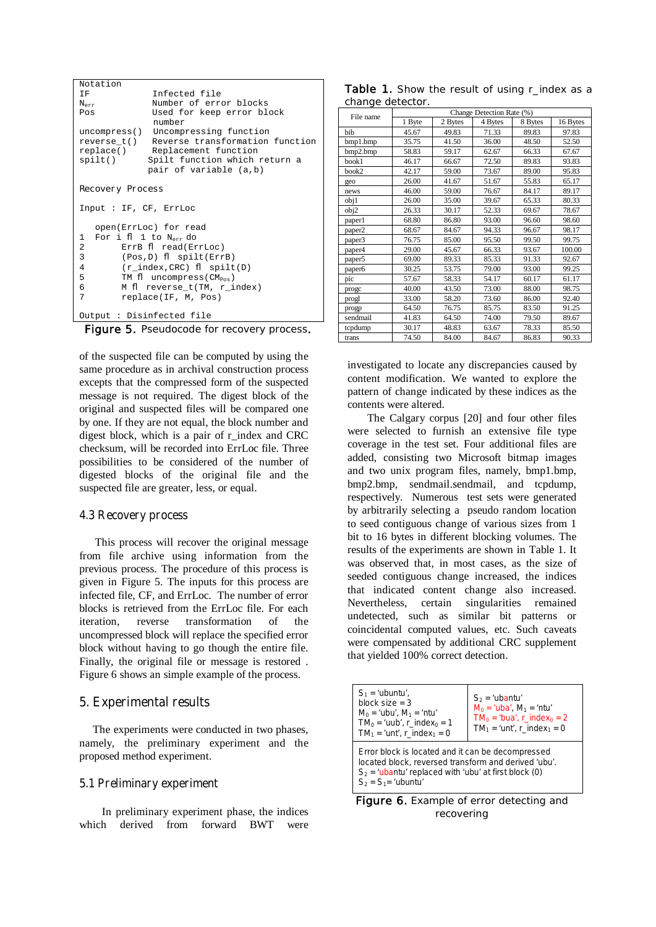| Notation                                               |                                             |  |  |  |  |
|--------------------------------------------------------|---------------------------------------------|--|--|--|--|
| ΙF.                                                    | Infected file                               |  |  |  |  |
| $N_{err}$                                              | Number of error blocks                      |  |  |  |  |
| Pos                                                    | Used for keep error block                   |  |  |  |  |
|                                                        | number                                      |  |  |  |  |
|                                                        | uncompress() Uncompressing function         |  |  |  |  |
|                                                        | reverse_t() Reverse transformation function |  |  |  |  |
|                                                        | replace() Replacement function              |  |  |  |  |
| spilt()                                                | Spilt function which return a               |  |  |  |  |
|                                                        | pair of variable (a,b)                      |  |  |  |  |
|                                                        |                                             |  |  |  |  |
| Recovery Process                                       |                                             |  |  |  |  |
| Input : IF, CF, ErrLoc                                 |                                             |  |  |  |  |
|                                                        | open(ErrLoc) for read                       |  |  |  |  |
| For i $\beta$ 1 to N <sub>err</sub> do<br>$\mathbf{1}$ |                                             |  |  |  |  |
| $\overline{2}$                                         | ErrB $\beta$ read(ErrLoc)                   |  |  |  |  |
| 3<br>$(Pos, D)$ $\beta$ spilt $(ErrB)$                 |                                             |  |  |  |  |
| 4                                                      | $(r_iindex, CRC)$ $\beta$ spilt(D)          |  |  |  |  |
| 5<br>TM $\beta$ uncompress (CM <sub>Pos</sub> )        |                                             |  |  |  |  |
| 6                                                      | M B reverse t(TM, r index)                  |  |  |  |  |
| 7                                                      | replace(IF, M, Pos)                         |  |  |  |  |
|                                                        |                                             |  |  |  |  |
| Output : Disinfected file                              |                                             |  |  |  |  |

Figure 5. Pseudocode for recovery process.

of the suspected file can be computed by using the same procedure as in archival construction process excepts that the compressed form of the suspected message is not required. The digest block of the original and suspected files will be compared one by one. If they are not equal, the block number and digest block, which is a pair of r\_index and CRC checksum, will be recorded into ErrLoc file. Three possibilities to be considered of the number of digested blocks of the original file and the suspected file are greater, less, or equal.

#### **4.3 Recovery process**

This process will recover the original message from file archive using information from the previous process. The procedure of this process is given in Figure 5. The inputs for this process are infected file, CF, and ErrLoc. The number of error blocks is retrieved from the ErrLoc file. For each iteration, reverse transformation of the uncompressed block will replace the specified error block without having to go though the entire file. Finally, the original file or message is restored . Figure 6 shows an simple example of the process.

#### **5. Experimental results**

The experiments were conducted in two phases, namely, the preliminary experiment and the proposed method experiment.

#### **5.1 Preliminary experiment**

 In preliminary experiment phase, the indices which derived from forward BWT were

Table 1. Show the result of using r\_index as a change detector.

| File name |        |         | Change Detection Rate (%) |         |          |
|-----------|--------|---------|---------------------------|---------|----------|
|           | 1 Byte | 2 Bytes | 4 Bytes                   | 8 Bytes | 16 Bytes |
| bib       | 45.67  | 49.83   | 71.33                     | 89.83   | 97.83    |
| bmp1.bmp  | 35.75  | 41.50   | 36.00                     | 48.50   | 52.50    |
| bmp2.bmp  | 58.83  | 59.17   | 62.67                     | 66.33   | 67.67    |
| book1     | 46.17  | 66.67   | 72.50                     | 89.83   | 93.83    |
| book2     | 42.17  | 59.00   | 73.67                     | 89.00   | 95.83    |
| geo       | 26.00  | 41.67   | 51.67                     | 55.83   | 65.17    |
| news      | 46.00  | 59.00   | 76.67                     | 84.17   | 89.17    |
| obj1      | 26.00  | 35.00   | 39.67                     | 65.33   | 80.33    |
| obj2      | 26.33  | 30.17   | 52.33                     | 69.67   | 78.67    |
| paper1    | 68.80  | 86.80   | 93.00                     | 96.60   | 98.60    |
| paper2    | 68.67  | 84.67   | 94.33                     | 96.67   | 98.17    |
| paper3    | 76.75  | 85.00   | 95.50                     | 99.50   | 99.75    |
| paper4    | 29.00  | 45.67   | 66.33                     | 93.67   | 100.00   |
| paper5    | 69.00  | 89.33   | 85.33                     | 91.33   | 92.67    |
| paper6    | 30.25  | 53.75   | 79.00                     | 93.00   | 99.25    |
| pic       | 57.67  | 58.33   | 54.17                     | 60.17   | 61.17    |
| progc     | 40.00  | 43.50   | 73.00                     | 88.00   | 98.75    |
| progl     | 33.00  | 58.20   | 73.60                     | 86.00   | 92.40    |
| progp     | 64.50  | 76.75   | 85.75                     | 83.50   | 91.25    |
| sendmail  | 41.83  | 64.50   | 74.00                     | 79.50   | 89.67    |
| tcpdump   | 30.17  | 48.83   | 63.67                     | 78.33   | 85.50    |
| trans     | 74.50  | 84.00   | 84.67                     | 86.83   | 90.33    |

investigated to locate any discrepancies caused by content modification. We wanted to explore the pattern of change indicated by these indices as the contents were altered.

The Calgary corpus [20] and four other files were selected to furnish an extensive file type coverage in the test set. Four additional files are added, consisting two Microsoft bitmap images and two unix program files, namely, bmp1.bmp, bmp2.bmp, sendmail.sendmail, and tcpdump, respectively. Numerous test sets were generated by arbitrarily selecting a pseudo random location to seed contiguous change of various sizes from 1 bit to 16 bytes in different blocking volumes. The results of the experiments are shown in Table 1. It was observed that, in most cases, as the size of seeded contiguous change increased, the indices that indicated content change also increased. Nevertheless, certain singularities remained undetected, such as similar bit patterns or coincidental computed values, etc. Such caveats were compensated by additional CRC supplement that yielded 100% correct detection.



Figure 6. Example of error detecting and recovering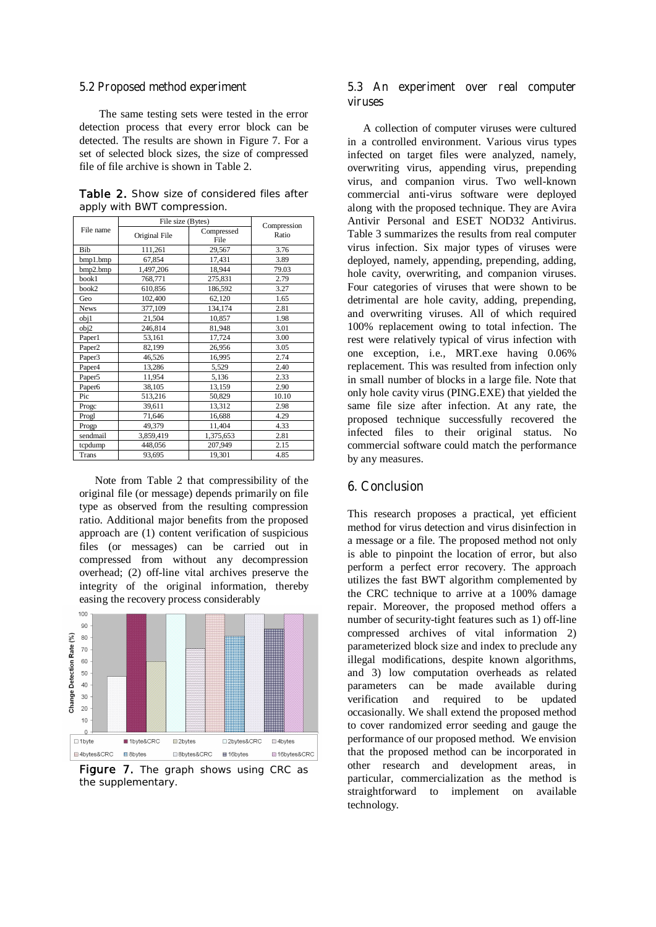#### **5.2 Proposed method experiment**

The same testing sets were tested in the error detection process that every error block can be detected. The results are shown in Figure 7. For a set of selected block sizes, the size of compressed file of file archive is shown in Table 2.

|                             |  |  | Table 2. Show size of considered files after |  |  |
|-----------------------------|--|--|----------------------------------------------|--|--|
| apply with BWT compression. |  |  |                                              |  |  |

|                    | File size (Bytes) | Compression        |       |  |
|--------------------|-------------------|--------------------|-------|--|
| File name          | Original File     | Compressed<br>File | Ratio |  |
| Bib                | 111,261           | 29,567             | 3.76  |  |
| bmp1.bmp           | 67,854            | 17,431             | 3.89  |  |
| bmp2.bmp           | 1,497,206         | 18,944             | 79.03 |  |
| book1              | 768,771           | 275,831            | 2.79  |  |
| book2              | 610,856           | 186,592            | 3.27  |  |
| Geo                | 102,400           | 62,120             | 1.65  |  |
| <b>News</b>        | 377,109           | 134,174            | 2.81  |  |
| obj1               | 21,504            | 10,857             | 1.98  |  |
| obj2               | 246,814           | 81,948             | 3.01  |  |
| Paper1             | 53,161            | 17,724             | 3.00  |  |
| Paper <sub>2</sub> | 82,199            | 26,956             | 3.05  |  |
| Paper3             | 46,526            | 16,995             | 2.74  |  |
| Paper <sub>4</sub> | 13,286            | 5,529              | 2.40  |  |
| Paper <sub>5</sub> | 11,954            | 5,136              | 2.33  |  |
| Paper6             | 38,105            | 13,159             | 2.90  |  |
| Pic                | 513,216           | 50,829             | 10.10 |  |
| Progc              | 39,611            | 13,312             | 2.98  |  |
| Progl              | 71,646            | 16,688             | 4.29  |  |
| Progp              | 49,379            | 11,404             | 4.33  |  |
| sendmail           | 3,859,419         | 1,375,653          | 2.81  |  |
| tcpdump            | 448,056           | 207,949            | 2.15  |  |
| <b>Trans</b>       | 93,695            | 19,301             | 4.85  |  |

Note from Table 2 that compressibility of the original file (or message) depends primarily on file type as observed from the resulting compression ratio. Additional major benefits from the proposed approach are (1) content verification of suspicious files (or messages) can be carried out in compressed from without any decompression overhead; (2) off-line vital archives preserve the integrity of the original information, thereby easing the recovery process considerably



Figure 7. The graph shows using CRC as the supplementary.

### **5.3 An experiment over real computer viruses**

 A collection of computer viruses were cultured in a controlled environment. Various virus types infected on target files were analyzed, namely, overwriting virus, appending virus, prepending virus, and companion virus. Two well-known commercial anti-virus software were deployed along with the proposed technique. They are Avira Antivir Personal and ESET NOD32 Antivirus. Table 3 summarizes the results from real computer virus infection. Six major types of viruses were deployed, namely, appending, prepending, adding, hole cavity, overwriting, and companion viruses. Four categories of viruses that were shown to be detrimental are hole cavity, adding, prepending, and overwriting viruses. All of which required 100% replacement owing to total infection. The rest were relatively typical of virus infection with one exception, i.e., MRT.exe having 0.06% replacement. This was resulted from infection only in small number of blocks in a large file. Note that only hole cavity virus (PING.EXE) that yielded the same file size after infection. At any rate, the proposed technique successfully recovered the infected files to their original status. No commercial software could match the performance by any measures.

# **6. Conclusion**

This research proposes a practical, yet efficient method for virus detection and virus disinfection in a message or a file. The proposed method not only is able to pinpoint the location of error, but also perform a perfect error recovery. The approach utilizes the fast BWT algorithm complemented by the CRC technique to arrive at a 100% damage repair. Moreover, the proposed method offers a number of security-tight features such as 1) off-line compressed archives of vital information 2) parameterized block size and index to preclude any illegal modifications, despite known algorithms, and 3) low computation overheads as related parameters can be made available during verification and required to be updated occasionally. We shall extend the proposed method to cover randomized error seeding and gauge the performance of our proposed method. We envision that the proposed method can be incorporated in other research and development areas, in particular, commercialization as the method is straightforward to implement on available technology.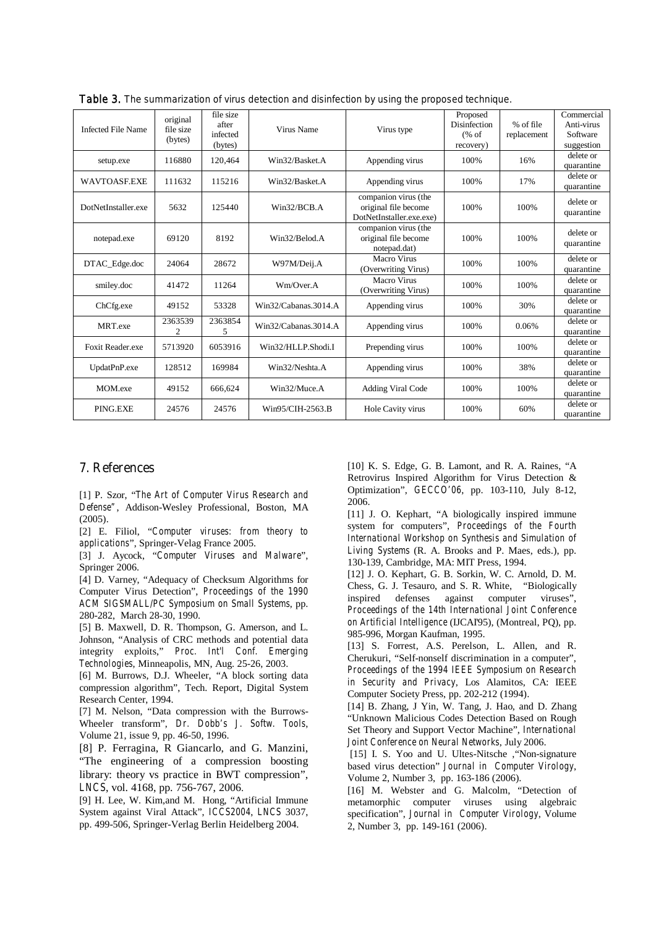| <b>Infected File Name</b> | original<br>file size<br>(bytes) | file size<br>after<br>infected<br>(bytes) | Virus Name           | Virus type                                                               | Proposed<br>Disinfection<br>(% of<br>recovery) | % of file<br>replacement | Commercial<br>Anti-virus<br>Software<br>suggestion |
|---------------------------|----------------------------------|-------------------------------------------|----------------------|--------------------------------------------------------------------------|------------------------------------------------|--------------------------|----------------------------------------------------|
| setup.exe                 | 116880                           | 120.464                                   | Win32/Basket.A       | Appending virus                                                          | 100%                                           | 16%                      | delete or<br>quarantine                            |
| <b>WAVTOASF.EXE</b>       | 111632                           | 115216                                    | Win32/Basket.A       | Appending virus                                                          | 100%                                           | 17%                      | delete or<br>quarantine                            |
| DotNetInstaller.exe       | 5632                             | 125440                                    | Win32/BCB.A          | companion virus (the<br>original file become<br>DotNetInstaller.exe.exe) | 100%                                           | 100%                     | delete or<br>quarantine                            |
| notepad.exe               | 69120                            | 8192                                      | Win32/Belod.A        | companion virus (the<br>original file become<br>notepad.dat)             | 100%                                           | 100%                     | delete or<br>quarantine                            |
| DTAC_Edge.doc             | 24064                            | 28672                                     | W97M/Deij.A          | <b>Macro Virus</b><br>(Overwriting Virus)                                | 100%                                           | 100%                     | delete or<br>quarantine                            |
| smiley.doc                | 41472                            | 11264                                     | Wm/Over.A            | <b>Macro Virus</b><br>(Overwriting Virus)                                | 100%                                           | 100%                     | delete or<br>quarantine                            |
| ChCfg.exe                 | 49152                            | 53328                                     | Win32/Cabanas.3014.A | Appending virus                                                          | 100%                                           | 30%                      | delete or<br>quarantine                            |
| MRT.exe                   | 2363539<br>2                     | 2363854<br>5                              | Win32/Cabanas.3014.A | Appending virus                                                          | 100%                                           | 0.06%                    | delete or<br>quarantine                            |
| <b>Foxit Reader.exe</b>   | 5713920                          | 6053916                                   | Win32/HLLP.Shodi.I   | Prepending virus                                                         | 100%                                           | 100%                     | delete or<br>quarantine                            |
| UpdatPnP.exe              | 128512                           | 169984                                    | Win32/Neshta.A       | Appending virus                                                          | 100%                                           | 38%                      | delete or<br>quarantine                            |
| MOM.exe                   | 49152                            | 666,624                                   | Win32/Muce.A         | <b>Adding Viral Code</b>                                                 | 100%                                           | 100%                     | delete or<br>quarantine                            |
| PING.EXE                  | 24576                            | 24576                                     | Win95/CIH-2563.B     | Hole Cavity virus                                                        | 100%                                           | 60%                      | delete or<br>quarantine                            |

Table 3. The summarization of virus detection and disinfection by using the proposed technique.

### **7. References**

[1] P. Szor, "*The Art of Computer Virus Research and Defense"*, Addison-Wesley Professional, Boston, MA (2005).

[2] E. Filiol, "*Computer viruses: from theory to applications*", Springer-Velag France 2005.

[3] J. Aycock, "*Computer Viruses and Malware*", Springer 2006.

[4] D. Varney, "Adequacy of Checksum Algorithms for Computer Virus Detection", *Proceedings of the 1990 ACM SIGSMALL/PC Symposium on Small Systems*, pp. 280-282, March 28-30, 1990.

[5] B. Maxwell, D. R. Thompson, G. Amerson, and L. Johnson, "Analysis of CRC methods and potential data integrity exploits," *Proc. Int'l Conf. Emerging Technologies*, Minneapolis, MN, Aug. 25-26, 2003.

[6] M. Burrows, D.J. Wheeler, "A block sorting data compression algorithm", Tech. Report, Digital System Research Center, 1994.

[7] M. Nelson, "Data compression with the Burrows-Wheeler transform", *Dr. Dobb's J. Softw. Tools*, Volume 21, issue 9, pp. 46-50, 1996.

[8] P. Ferragina, R Giancarlo, and G. Manzini, "The engineering of a compression boosting library: theory vs practice in BWT compression", *LNCS*, vol. 4168, pp. 756-767, 2006.

[9] H. Lee, W. Kim,and M. Hong, "Artificial Immune System against Viral Attack", *ICCS2004*, *LNCS* 3037, pp. 499-506, Springer-Verlag Berlin Heidelberg 2004.

[10] K. S. Edge, G. B. Lamont, and R. A. Raines, "A Retrovirus Inspired Algorithm for Virus Detection & Optimization", *GECCO'06*, pp. 103-110, July 8-12, 2006.

[11] J. O. Kephart, "A biologically inspired immune system for computers", *Proceedings of the Fourth International Workshop on Synthesis and Simulation of Living Systems* (R. A. Brooks and P. Maes, eds.), pp. 130-139, Cambridge, MA: MIT Press, 1994.

[12] J. O. Kephart, G. B. Sorkin, W. C. Arnold, D. M. Chess, G. J. Tesauro, and S. R. White, "Biologically inspired defenses against computer viruses", *Proceedings of the 14th International Joint Conference on Artificial Intelligence* (IJCAI'95), (Montreal, PQ), pp. 985-996, Morgan Kaufman, 1995.

[13] S. Forrest, A.S. Perelson, L. Allen, and R. Cherukuri, "Self-nonself discrimination in a computer", *Proceedings of the 1994 IEEE Symposium on Research in Security and Privacy*, Los Alamitos, CA: IEEE Computer Society Press, pp. 202-212 (1994).

[14] B. Zhang, J Yin, W. Tang, J. Hao, and D. Zhang "Unknown Malicious Codes Detection Based on Rough Set Theory and Support Vector Machine", *International Joint Conference on Neural Networks*, July 2006.

 [15] I. S. Yoo and U. Ultes-Nitsche ,"Non-signature based virus detection" *Journal in Computer Virology*, Volume 2, Number 3, pp. 163-186 (2006).

[16] M. Webster and G. Malcolm, "Detection of metamorphic computer viruses using algebraic specification", *Journal in Computer Virology*, Volume 2, Number 3, pp. 149-161 (2006).